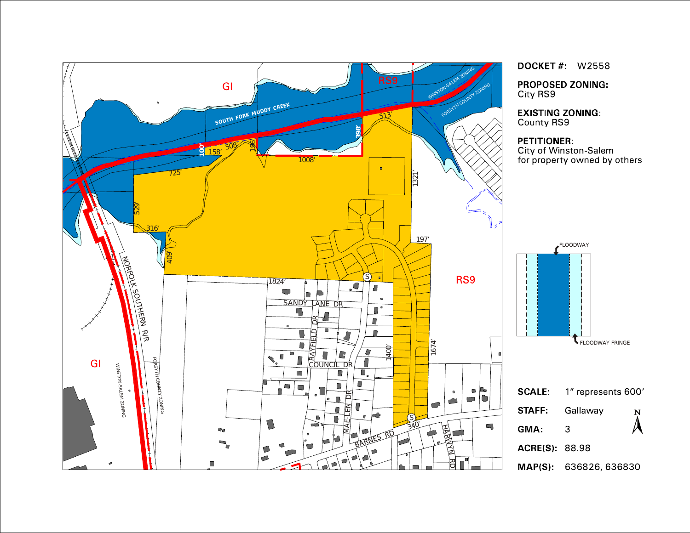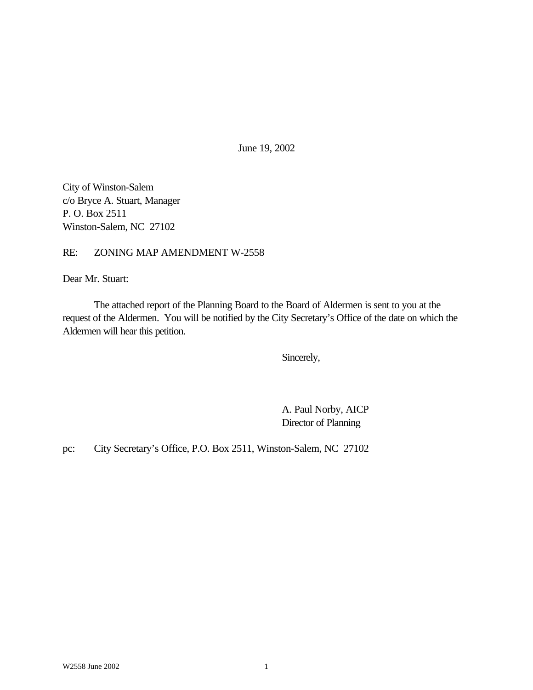June 19, 2002

City of Winston-Salem c/o Bryce A. Stuart, Manager P. O. Box 2511 Winston-Salem, NC 27102

### RE: ZONING MAP AMENDMENT W-2558

Dear Mr. Stuart:

The attached report of the Planning Board to the Board of Aldermen is sent to you at the request of the Aldermen. You will be notified by the City Secretary's Office of the date on which the Aldermen will hear this petition.

Sincerely,

A. Paul Norby, AICP Director of Planning

pc: City Secretary's Office, P.O. Box 2511, Winston-Salem, NC 27102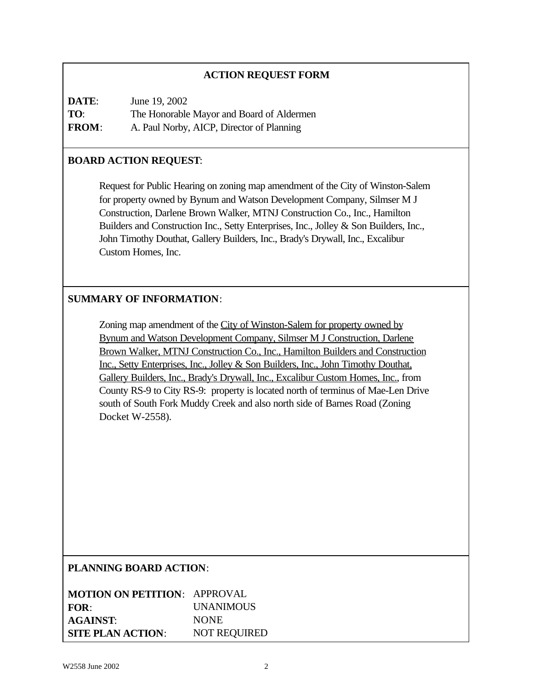# **ACTION REQUEST FORM**

| DATE:        | June 19, 2002                             |
|--------------|-------------------------------------------|
| TO:          | The Honorable Mayor and Board of Aldermen |
| <b>FROM:</b> | A. Paul Norby, AICP, Director of Planning |

## **BOARD ACTION REQUEST**:

Request for Public Hearing on zoning map amendment of the City of Winston-Salem for property owned by Bynum and Watson Development Company, Silmser M J Construction, Darlene Brown Walker, MTNJ Construction Co., Inc., Hamilton Builders and Construction Inc., Setty Enterprises, Inc., Jolley & Son Builders, Inc., John Timothy Douthat, Gallery Builders, Inc., Brady's Drywall, Inc., Excalibur Custom Homes, Inc.

# **SUMMARY OF INFORMATION**:

Zoning map amendment of the City of Winston-Salem for property owned by Bynum and Watson Development Company, Silmser M J Construction, Darlene Brown Walker, MTNJ Construction Co., Inc., Hamilton Builders and Construction Inc., Setty Enterprises, Inc., Jolley & Son Builders, Inc., John Timothy Douthat, Gallery Builders, Inc., Brady's Drywall, Inc., Excalibur Custom Homes, Inc., from County RS-9 to City RS-9: property is located north of terminus of Mae-Len Drive south of South Fork Muddy Creek and also north side of Barnes Road (Zoning Docket W-2558).

#### **PLANNING BOARD ACTION**:

| <b>MOTION ON PETITION: APPROVAL</b> |                     |
|-------------------------------------|---------------------|
| FOR:                                | <b>UNANIMOUS</b>    |
| <b>AGAINST:</b>                     | <b>NONE</b>         |
| <b>SITE PLAN ACTION:</b>            | <b>NOT REQUIRED</b> |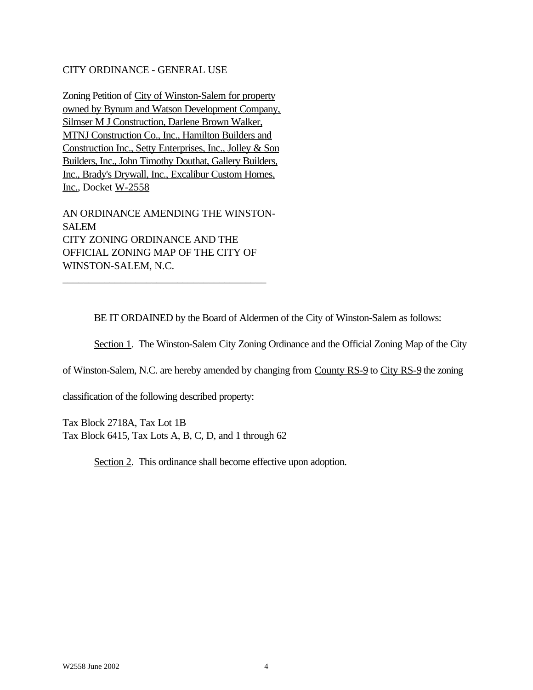### CITY ORDINANCE - GENERAL USE

Zoning Petition of City of Winston-Salem for property owned by Bynum and Watson Development Company, Silmser M J Construction, Darlene Brown Walker, MTNJ Construction Co., Inc., Hamilton Builders and Construction Inc., Setty Enterprises, Inc., Jolley & Son Builders, Inc., John Timothy Douthat, Gallery Builders, Inc., Brady's Drywall, Inc., Excalibur Custom Homes, Inc., Docket W-2558

AN ORDINANCE AMENDING THE WINSTON-SALEM CITY ZONING ORDINANCE AND THE OFFICIAL ZONING MAP OF THE CITY OF WINSTON-SALEM, N.C.

\_\_\_\_\_\_\_\_\_\_\_\_\_\_\_\_\_\_\_\_\_\_\_\_\_\_\_\_\_\_\_\_\_\_\_\_\_\_\_

BE IT ORDAINED by the Board of Aldermen of the City of Winston-Salem as follows:

Section 1. The Winston-Salem City Zoning Ordinance and the Official Zoning Map of the City

of Winston-Salem, N.C. are hereby amended by changing from County RS-9 to City RS-9 the zoning

classification of the following described property:

Tax Block 2718A, Tax Lot 1B Tax Block 6415, Tax Lots A, B, C, D, and 1 through 62

Section 2. This ordinance shall become effective upon adoption.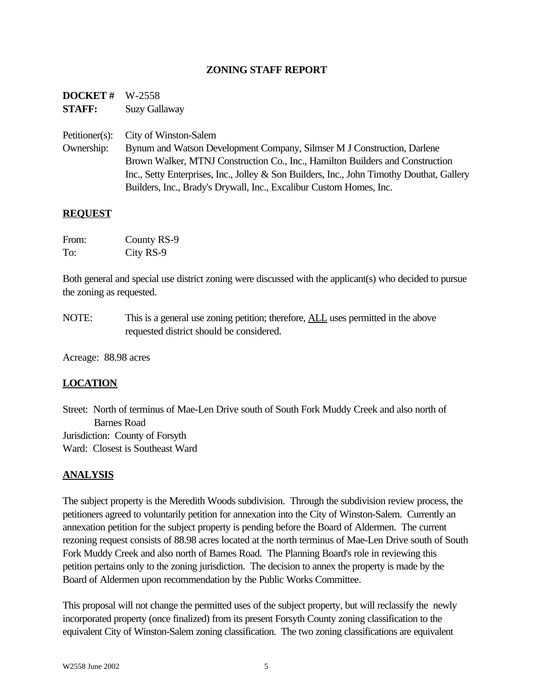# **ZONING STAFF REPORT**

**DOCKET #** W-2558 **STAFF:** Suzy Gallaway

Petitioner(s): City of Winston-Salem

Ownership: Bynum and Watson Development Company, Silmser M J Construction, Darlene Brown Walker, MTNJ Construction Co., Inc., Hamilton Builders and Construction Inc., Setty Enterprises, Inc., Jolley & Son Builders, Inc., John Timothy Douthat, Gallery Builders, Inc., Brady's Drywall, Inc., Excalibur Custom Homes, Inc.

#### **REQUEST**

| From: | County RS-9 |
|-------|-------------|
| To:   | City RS-9   |

Both general and special use district zoning were discussed with the applicant(s) who decided to pursue the zoning as requested.

NOTE: This is a general use zoning petition; therefore, **ALL** uses permitted in the above requested district should be considered.

Acreage: 88.98 acres

# **LOCATION**

Street: North of terminus of Mae-Len Drive south of South Fork Muddy Creek and also north of Barnes Road Jurisdiction: County of Forsyth Ward: Closest is Southeast Ward

### **ANALYSIS**

The subject property is the Meredith Woods subdivision. Through the subdivision review process, the petitioners agreed to voluntarily petition for annexation into the City of Winston-Salem. Currently an annexation petition for the subject property is pending before the Board of Aldermen. The current rezoning request consists of 88.98 acres located at the north terminus of Mae-Len Drive south of South Fork Muddy Creek and also north of Barnes Road. The Planning Board's role in reviewing this petition pertains only to the zoning jurisdiction. The decision to annex the property is made by the Board of Aldermen upon recommendation by the Public Works Committee.

This proposal will not change the permitted uses of the subject property, but will reclassify the newly incorporated property (once finalized) from its present Forsyth County zoning classification to the equivalent City of Winston-Salem zoning classification. The two zoning classifications are equivalent